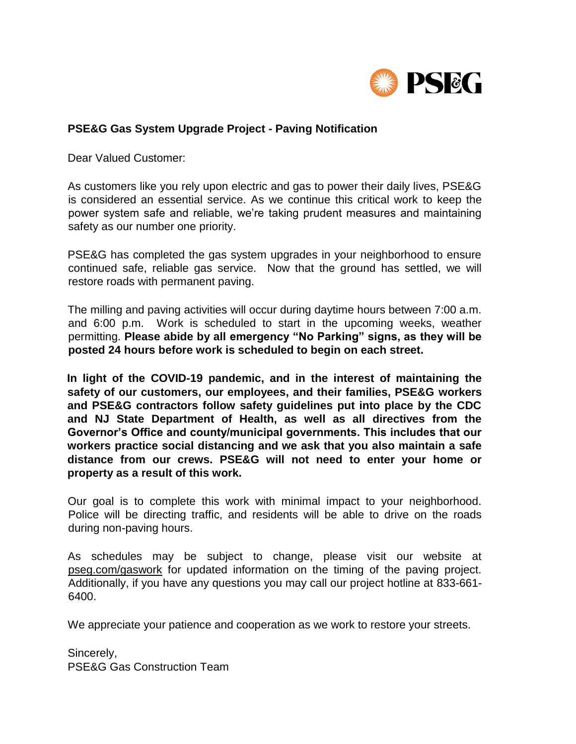

## **PSE&G Gas System Upgrade Project - Paving Notification**

Dear Valued Customer:

As customers like you rely upon electric and gas to power their daily lives, PSE&G is considered an essential service. As we continue this critical work to keep the power system safe and reliable, we're taking prudent measures and maintaining safety as our number one priority.

PSE&G has completed the gas system upgrades in your neighborhood to ensure continued safe, reliable gas service. Now that the ground has settled, we will restore roads with permanent paving.

The milling and paving activities will occur during daytime hours between 7:00 a.m. and 6:00 p.m. Work is scheduled to start in the upcoming weeks, weather permitting. **Please abide by all emergency "No Parking" signs, as they will be posted 24 hours before work is scheduled to begin on each street.** 

**In light of the COVID-19 pandemic, and in the interest of maintaining the safety of our customers, our employees, and their families, PSE&G workers and PSE&G contractors follow safety guidelines put into place by the CDC and NJ State Department of Health, as well as all directives from the Governor's Office and county/municipal governments. This includes that our workers practice social distancing and we ask that you also maintain a safe distance from our crews. PSE&G will not need to enter your home or property as a result of this work.** 

Our goal is to complete this work with minimal impact to your neighborhood. Police will be directing traffic, and residents will be able to drive on the roads during non-paving hours.

As schedules may be subject to change, please visit our website at pseg.com/gaswork for updated information on the timing of the paving project. Additionally, if you have any questions you may call our project hotline at 833-661- 6400.

We appreciate your patience and cooperation as we work to restore your streets.

Sincerely, PSE&G Gas Construction Team